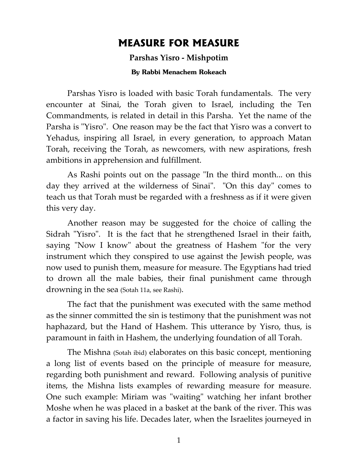## **MEASURE FOR MEASURE**

## **Parshas Yisro - Mishpotim**

## **By Rabbi Menachem Rokeach**

Parshas Yisro is loaded with basic Torah fundamentals. The very encounter at Sinai, the Torah given to Israel, including the Ten Commandments, is related in detail in this Parsha. Yet the name of the Parsha is "Yisro". One reason may be the fact that Yisro was a convert to Yehadus, inspiring all Israel, in every generation, to approach Matan Torah, receiving the Torah, as newcomers, with new aspirations, fresh ambitions in apprehension and fulfillment.

As Rashi points out on the passage "In the third month... on this day they arrived at the wilderness of Sinai". "On this day" comes to teach us that Torah must be regarded with a freshness as if it were given this very day.

Another reason may be suggested for the choice of calling the Sidrah "Yisro". It is the fact that he strengthened Israel in their faith, saying "Now I know" about the greatness of Hashem "for the very instrument which they conspired to use against the Jewish people, was now used to punish them, measure for measure. The Egyptians had tried to drown all the male babies, their final punishment came through drowning in the sea (Sotah 11a, see Rashi).

The fact that the punishment was executed with the same method as the sinner committed the sin is testimony that the punishment was not haphazard, but the Hand of Hashem. This utterance by Yisro, thus, is paramount in faith in Hashem, the underlying foundation of all Torah.

The Mishna (Sotah ibid) elaborates on this basic concept, mentioning a long list of events based on the principle of measure for measure, regarding both punishment and reward. Following analysis of punitive items, the Mishna lists examples of rewarding measure for measure. One such example: Miriam was "waiting" watching her infant brother Moshe when he was placed in a basket at the bank of the river. This was a factor in saving his life. Decades later, when the Israelites journeyed in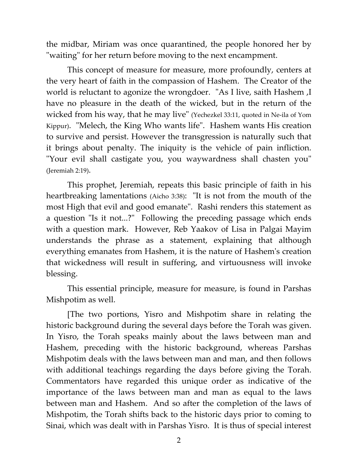the midbar, Miriam was once quarantined, the people honored her by "waiting" for her return before moving to the next encampment.

This concept of measure for measure, more profoundly, centers at the very heart of faith in the compassion of Hashem. The Creator of the world is reluctant to agonize the wrongdoer. "As I live, saith Hashem ,I have no pleasure in the death of the wicked, but in the return of the wicked from his way, that he may live" (Yechezkel 33:11, quoted in Ne-ila of Yom Kippur). "Melech, the King Who wants life". Hashem wants His creation to survive and persist. However the transgression is naturally such that it brings about penalty. The iniquity is the vehicle of pain infliction. "Your evil shall castigate you, you waywardness shall chasten you" (Jeremiah 2:19).

This prophet, Jeremiah, repeats this basic principle of faith in his heartbreaking lamentations (Aicho 3:38): "It is not from the mouth of the most High that evil and good emanate". Rashi renders this statement as a question "Is it not...?" Following the preceding passage which ends with a question mark. However, Reb Yaakov of Lisa in Palgai Mayim understands the phrase as a statement, explaining that although everything emanates from Hashem, it is the nature of Hashem's creation that wickedness will result in suffering, and virtuousness will invoke blessing.

This essential principle, measure for measure, is found in Parshas Mishpotim as well.

[The two portions, Yisro and Mishpotim share in relating the historic background during the several days before the Torah was given. In Yisro, the Torah speaks mainly about the laws between man and Hashem, preceding with the historic background, whereas Parshas Mishpotim deals with the laws between man and man, and then follows with additional teachings regarding the days before giving the Torah. Commentators have regarded this unique order as indicative of the importance of the laws between man and man as equal to the laws between man and Hashem. And so after the completion of the laws of Mishpotim, the Torah shifts back to the historic days prior to coming to Sinai, which was dealt with in Parshas Yisro. It is thus of special interest